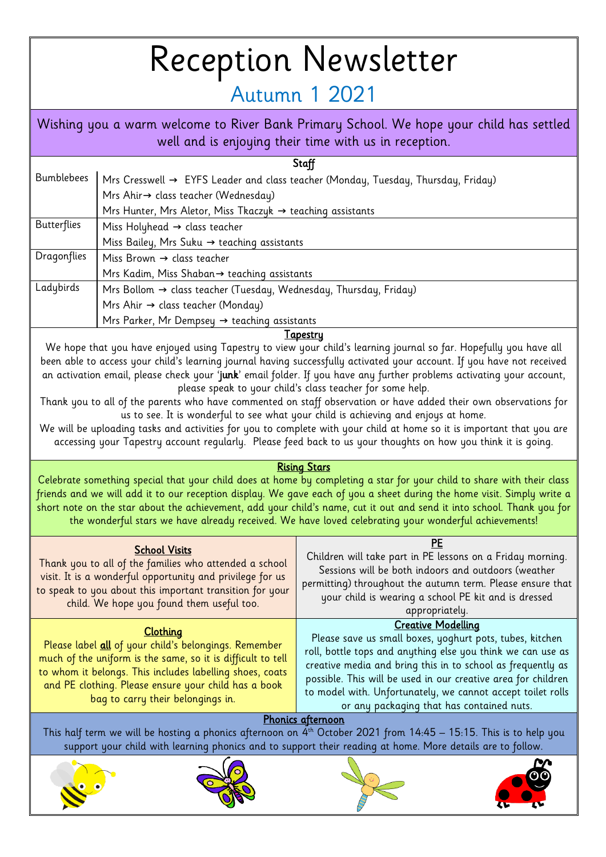## Reception Newsletter

## Autumn 1 2021

| Wishing you a warm welcome to River Bank Primary School. We hope your child has settled<br>well and is enjoying their time with us in reception. |                                                                                   |  |
|--------------------------------------------------------------------------------------------------------------------------------------------------|-----------------------------------------------------------------------------------|--|
| Staff                                                                                                                                            |                                                                                   |  |
| <b>Bumblebees</b>                                                                                                                                | Mrs Cresswell → EYFS Leader and class teacher (Monday, Tuesday, Thursday, Friday) |  |
|                                                                                                                                                  | Mrs Ahir→ class teacher (Wednesday)                                               |  |
|                                                                                                                                                  | Mrs Hunter, Mrs Aletor, Miss Tkaczyk → teaching assistants                        |  |
| <b>Butterflies</b>                                                                                                                               | Miss Holyhead $\rightarrow$ class teacher                                         |  |
|                                                                                                                                                  | Miss Bailey, Mrs Suku $\rightarrow$ teaching assistants                           |  |
| Dragonflies                                                                                                                                      | Miss Brown $\rightarrow$ class teacher                                            |  |
|                                                                                                                                                  | Mrs Kadim, Miss Shaban→ teaching assistants                                       |  |
| Ladybirds                                                                                                                                        | Mrs Bollom $\rightarrow$ class teacher (Tuesday, Wednesday, Thursday, Friday)     |  |
|                                                                                                                                                  | Mrs Ahir $\rightarrow$ class teacher (Monday)                                     |  |
|                                                                                                                                                  | Mrs Parker, Mr Dempsey → teaching assistants                                      |  |

## **Tapestry**

We hope that you have enjoyed using Tapestry to view your child's learning journal so far. Hopefully you have all been able to access your child's learning journal having successfully activated your account. If you have not received an activation email, please check your 'junk' email folder. If you have any further problems activating your account, please speak to your child's class teacher for some help.

Thank you to all of the parents who have commented on staff observation or have added their own observations for us to see. It is wonderful to see what your child is achieving and enjoys at home.

We will be uploading tasks and activities for you to complete with your child at home so it is important that you are accessing your Tapestry account regularly. Please feed back to us your thoughts on how you think it is going.

## Rising Stars

Celebrate something special that your child does at home by completing a star for your child to share with their class friends and we will add it to our reception display. We gave each of you a sheet during the home visit. Simply write a short note on the star about the achievement, add your child's name, cut it out and send it into school. Thank you for the wonderful stars we have already received. We have loved celebrating your wonderful achievements!

| <b>School Visits</b><br>Thank you to all of the families who attended a school<br>visit. It is a wonderful opportunity and privilege for us<br>to speak to you about this important transition for your<br>child. We hope you found them useful too.                                             | РE<br>Children will take part in PE lessons on a Friday morning.<br>Sessions will be both indoors and outdoors (weather<br>permitting) throughout the autumn term. Please ensure that<br>your child is wearing a school PE kit and is dressed<br>appropriately.                                                                                                                                  |  |  |
|--------------------------------------------------------------------------------------------------------------------------------------------------------------------------------------------------------------------------------------------------------------------------------------------------|--------------------------------------------------------------------------------------------------------------------------------------------------------------------------------------------------------------------------------------------------------------------------------------------------------------------------------------------------------------------------------------------------|--|--|
| <b>Clothing</b><br>Please label all of your child's belongings. Remember<br>much of the uniform is the same, so it is difficult to tell<br>to whom it belongs. This includes labelling shoes, coats<br>and PE clothing. Please ensure your child has a book<br>bag to carry their belongings in. | <b>Creative Modelling</b><br>Please save us small boxes, yoghurt pots, tubes, kitchen<br>roll, bottle tops and anything else you think we can use as<br>creative media and bring this in to school as frequently as<br>possible. This will be used in our creative area for children<br>to model with. Unfortunately, we cannot accept toilet rolls<br>or any packaging that has contained nuts. |  |  |
| Phonics afternoon                                                                                                                                                                                                                                                                                |                                                                                                                                                                                                                                                                                                                                                                                                  |  |  |
| This half term we will be hosting a phonics afternoon on $4^{th}$ October 2021 from 14:45 – 15:15. This is to help you<br>support your child with learning phonics and to support their reading at home. More details are to follow.                                                             |                                                                                                                                                                                                                                                                                                                                                                                                  |  |  |
|                                                                                                                                                                                                                                                                                                  |                                                                                                                                                                                                                                                                                                                                                                                                  |  |  |